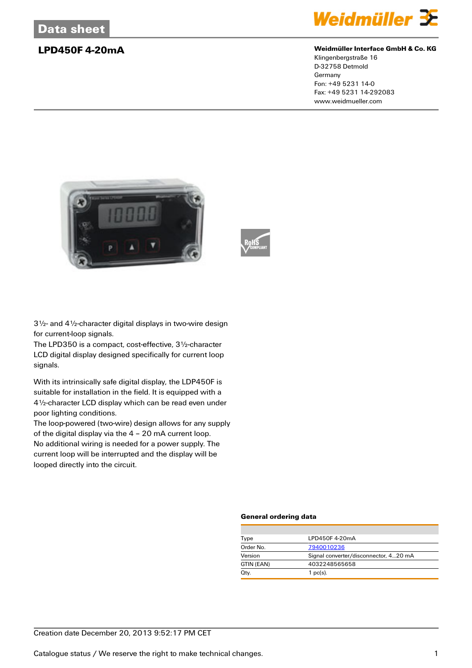

### **LPD450F 4-20mA Weidmüller Interface GmbH & Co. KG**

Klingenbergstraße 16 D-32758 Detmold Germany Fon: +49 5231 14-0 Fax: +49 5231 14-292083 www.weidmueller.com





3½- and 4½-character digital displays in two-wire design for current-loop signals.

The LPD350 is a compact, cost-effective, 3½-character LCD digital display designed specifically for current loop signals.

With its intrinsically safe digital display, the LDP450F is suitable for installation in the field. It is equipped with a 4½-character LCD display which can be read even under poor lighting conditions.

The loop-powered (two-wire) design allows for any supply of the digital display via the 4 – 20 mA current loop. No additional wiring is needed for a power supply. The current loop will be interrupted and the display will be looped directly into the circuit.

### **General ordering data**

| Type       | LPD450F4-20mA                         |
|------------|---------------------------------------|
| Order No.  | 7940010236                            |
| Version    | Signal converter/disconnector, 420 mA |
| GTIN (EAN) | 4032248565658                         |
| Qty.       | $1$ pc(s).                            |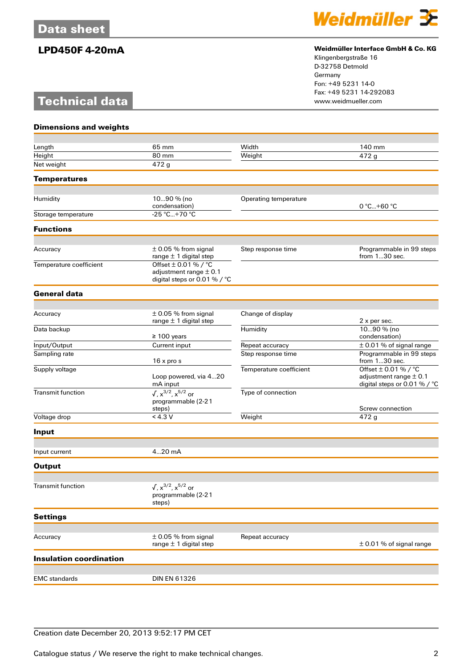# **Technical data**



## **LPD450F 4-20mA Weidmüller Interface GmbH & Co. KG**

Klingenbergstraße 16 D-32758 Detmold Germany Fon: +49 5231 14-0 Fax: +49 5231 14-292083

| <b>Dimensions and weights</b>  |                                                                                        |                         |                                                                                        |
|--------------------------------|----------------------------------------------------------------------------------------|-------------------------|----------------------------------------------------------------------------------------|
|                                |                                                                                        |                         |                                                                                        |
| Length                         | 65 mm                                                                                  | Width                   | 140 mm                                                                                 |
| Height<br>Net weight           | 80 mm<br>472 g                                                                         | Weight                  | 472 g                                                                                  |
|                                |                                                                                        |                         |                                                                                        |
| <b>Temperatures</b>            |                                                                                        |                         |                                                                                        |
| Humidity                       | 1090 % (no                                                                             | Operating temperature   |                                                                                        |
|                                | condensation)                                                                          |                         | 0 °C+60 °C                                                                             |
| Storage temperature            | -25 °C+70 °C                                                                           |                         |                                                                                        |
| <b>Functions</b>               |                                                                                        |                         |                                                                                        |
|                                |                                                                                        |                         |                                                                                        |
| Accuracy                       | $\pm$ 0.05 % from signal<br>range $\pm$ 1 digital step                                 | Step response time      | Programmable in 99 steps<br>from 130 sec.                                              |
| Temperature coefficient        | Offset $\pm$ 0.01 % / °C<br>adjustment range $\pm$ 0.1<br>digital steps or 0.01 % / °C |                         |                                                                                        |
| <b>General data</b>            |                                                                                        |                         |                                                                                        |
|                                |                                                                                        |                         |                                                                                        |
| Accuracy                       | $\pm$ 0.05 % from signal                                                               | Change of display       |                                                                                        |
| Data backup                    | range $\pm$ 1 digital step                                                             | Humidity                | 2 x per sec.<br>1090 % (no                                                             |
|                                | $\geq 100$ years                                                                       |                         | condensation)                                                                          |
| Input/Output                   | Current input                                                                          | Repeat accuracy         | $\pm$ 0.01 % of signal range                                                           |
| Sampling rate                  | 16 x pro s                                                                             | Step response time      | Programmable in 99 steps<br>from $130$ sec.                                            |
| Supply voltage                 | Loop powered, via 420<br>mA input                                                      | Temperature coefficient | Offset $\pm$ 0.01 % / °C<br>adjustment range $\pm$ 0.1<br>digital steps or 0.01 % / °C |
| <b>Transmit function</b>       | $\sqrt{x}^{3/2}$ , $x^{5/2}$ or                                                        | Type of connection      |                                                                                        |
|                                | programmable (2-21<br>steps)                                                           |                         | Screw connection                                                                       |
| Voltage drop                   | < 4.3 V                                                                                | Weight                  | 472 g                                                                                  |
| Input                          |                                                                                        |                         |                                                                                        |
|                                |                                                                                        |                         |                                                                                        |
| Input current                  | 420 mA                                                                                 |                         |                                                                                        |
| <b>Output</b>                  |                                                                                        |                         |                                                                                        |
| <b>Transmit function</b>       |                                                                                        |                         |                                                                                        |
|                                | $\sqrt{x}^{3/2}$ , $x^{5/2}$ or<br>programmable (2-21<br>steps)                        |                         |                                                                                        |
| <b>Settings</b>                |                                                                                        |                         |                                                                                        |
|                                |                                                                                        |                         |                                                                                        |
| Accuracy                       | $\pm$ 0.05 % from signal<br>range $\pm$ 1 digital step                                 | Repeat accuracy         | $\pm$ 0.01 % of signal range                                                           |
| <b>Insulation coordination</b> |                                                                                        |                         |                                                                                        |
| <b>EMC</b> standards           | <b>DIN EN 61326</b>                                                                    |                         |                                                                                        |
|                                |                                                                                        |                         |                                                                                        |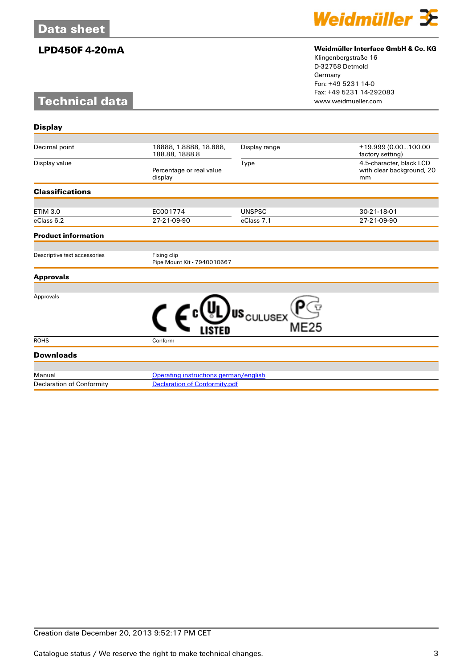# **Technical data**



## **LPD450F 4-20mA Weidmüller Interface GmbH & Co. KG**

Klingenbergstraße 16 D-32758 Detmold Germany Fon: +49 5231 14-0 Fax: +49 5231 14-292083

| 18888, 1.8888, 18.888,<br>188.88, 1888.8   | Display range | ±19.999 (0.00100.00<br>factory setting)                                                                                                |  |
|--------------------------------------------|---------------|----------------------------------------------------------------------------------------------------------------------------------------|--|
| Percentage or real value<br>display        | Type          | 4.5-character, black LCD<br>with clear background, 20<br>mm                                                                            |  |
|                                            |               |                                                                                                                                        |  |
|                                            |               | 30-21-18-01                                                                                                                            |  |
| 27-21-09-90                                | eClass 7.1    | 27-21-09-90                                                                                                                            |  |
|                                            |               |                                                                                                                                        |  |
|                                            |               |                                                                                                                                        |  |
| Fixing clip<br>Pipe Mount Kit - 7940010667 |               |                                                                                                                                        |  |
|                                            |               |                                                                                                                                        |  |
|                                            |               |                                                                                                                                        |  |
|                                            |               |                                                                                                                                        |  |
| Conform                                    |               |                                                                                                                                        |  |
|                                            |               |                                                                                                                                        |  |
|                                            |               |                                                                                                                                        |  |
|                                            |               |                                                                                                                                        |  |
|                                            | EC001774      | <b>UNSPSC</b><br>US <sub>CULUSEX</sub><br><b>ME25</b><br>Operating instructions german/english<br><b>Declaration of Conformity.pdf</b> |  |